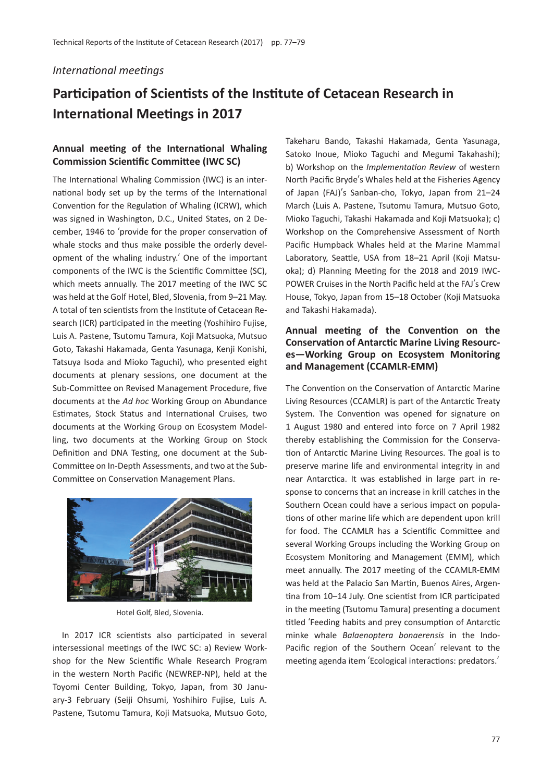#### *International meetings*

# **Participation of Scientists of the Institute of Cetacean Research in International Meetings in 2017**

# **Annual meeting of the International Whaling Commission Scientific Committee (IWC SC)**

The International Whaling Commission (IWC) is an international body set up by the terms of the International Convention for the Regulation of Whaling (ICRW), which was signed in Washington, D.C., United States, on 2 December, 1946 to ʻprovide for the proper conservation of whale stocks and thus make possible the orderly development of the whaling industry.' One of the important components of the IWC is the Scientific Committee (SC), which meets annually. The 2017 meeting of the IWC SC was held at the Golf Hotel, Bled, Slovenia, from 9–21 May. A total of ten scientists from the Institute of Cetacean Research (ICR) participated in the meeting (Yoshihiro Fujise, Luis A. Pastene, Tsutomu Tamura, Koji Matsuoka, Mutsuo Goto, Takashi Hakamada, Genta Yasunaga, Kenji Konishi, Tatsuya Isoda and Mioko Taguchi), who presented eight documents at plenary sessions, one document at the Sub-Committee on Revised Management Procedure, five documents at the *Ad hoc* Working Group on Abundance Estimates, Stock Status and International Cruises, two documents at the Working Group on Ecosystem Modelling, two documents at the Working Group on Stock Definition and DNA Testing, one document at the Sub-Committee on In-Depth Assessments, and two at the Sub-Committee on Conservation Management Plans.



Hotel Golf, Bled, Slovenia.

In 2017 ICR scientists also participated in several intersessional meetings of the IWC SC: a) Review Workshop for the New Scientific Whale Research Program in the western North Pacific (NEWREP-NP), held at the Toyomi Center Building, Tokyo, Japan, from 30 January-3 February (Seiji Ohsumi, Yoshihiro Fujise, Luis A. Pastene, Tsutomu Tamura, Koji Matsuoka, Mutsuo Goto,

Takeharu Bando, Takashi Hakamada, Genta Yasunaga, Satoko Inoue, Mioko Taguchi and Megumi Takahashi); b) Workshop on the *Implementation Review* of western North Pacific Bryde's Whales held at the Fisheries Agency of Japan (FAJ)'s Sanban-cho, Tokyo, Japan from 21–24 March (Luis A. Pastene, Tsutomu Tamura, Mutsuo Goto, Mioko Taguchi, Takashi Hakamada and Koji Matsuoka); c) Workshop on the Comprehensive Assessment of North Pacific Humpback Whales held at the Marine Mammal Laboratory, Seattle, USA from 18–21 April (Koji Matsuoka); d) Planning Meeting for the 2018 and 2019 IWC-POWER Cruises in the North Pacific held at the FAJ's Crew House, Tokyo, Japan from 15–18 October (Koji Matsuoka and Takashi Hakamada).

## **Annual meeting of the Convention on the Conservation of Antarctic Marine Living Resources—Working Group on Ecosystem Monitoring and Management (CCAMLR-EMM)**

The Convention on the Conservation of Antarctic Marine Living Resources (CCAMLR) is part of the Antarctic Treaty System. The Convention was opened for signature on 1 August 1980 and entered into force on 7 April 1982 thereby establishing the Commission for the Conservation of Antarctic Marine Living Resources. The goal is to preserve marine life and environmental integrity in and near Antarctica. It was established in large part in response to concerns that an increase in krill catches in the Southern Ocean could have a serious impact on populations of other marine life which are dependent upon krill for food. The CCAMLR has a Scientific Committee and several Working Groups including the Working Group on Ecosystem Monitoring and Management (EMM), which meet annually. The 2017 meeting of the CCAMLR-EMM was held at the Palacio San Martin, Buenos Aires, Argentina from 10–14 July. One scientist from ICR participated in the meeting (Tsutomu Tamura) presenting a document titled ʻFeeding habits and prey consumption of Antarctic minke whale *Balaenoptera bonaerensis* in the Indo-Pacific region of the Southern Ocean' relevant to the meeting agenda item ʻEcological interactions: predators.'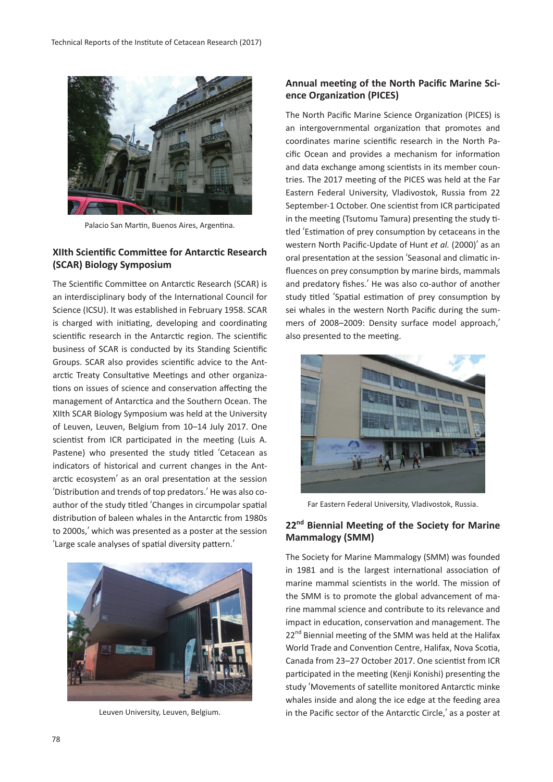

Palacio San Martin, Buenos Aires, Argentina.

#### **XIIth Scientific Committee for Antarctic Research (SCAR) Biology Symposium**

The Scientific Committee on Antarctic Research (SCAR) is an interdisciplinary body of the International Council for Science (ICSU). It was established in February 1958. SCAR is charged with initiating, developing and coordinating scientific research in the Antarctic region. The scientific business of SCAR is conducted by its Standing Scientific Groups. SCAR also provides scientific advice to the Antarctic Treaty Consultative Meetings and other organizations on issues of science and conservation affecting the management of Antarctica and the Southern Ocean. The XIIth SCAR Biology Symposium was held at the University of Leuven, Leuven, Belgium from 10–14 July 2017. One scientist from ICR participated in the meeting (Luis A. Pastene) who presented the study titled ʻCetacean as indicators of historical and current changes in the Antarctic ecosystem' as an oral presentation at the session ʻDistribution and trends of top predators.' He was also coauthor of the study titled ʻChanges in circumpolar spatial distribution of baleen whales in the Antarctic from 1980s to 2000s,' which was presented as a poster at the session ʻLarge scale analyses of spatial diversity pattern.'



Leuven University, Leuven, Belgium.

#### **Annual meeting of the North Pacific Marine Science Organization (PICES)**

The North Pacific Marine Science Organization (PICES) is an intergovernmental organization that promotes and coordinates marine scientific research in the North Pacific Ocean and provides a mechanism for information and data exchange among scientists in its member countries. The 2017 meeting of the PICES was held at the Far Eastern Federal University, Vladivostok, Russia from 22 September-1 October. One scientist from ICR participated in the meeting (Tsutomu Tamura) presenting the study titled ʻEstimation of prey consumption by cetaceans in the western North Pacific-Update of Hunt *et al.* (2000)' as an oral presentation at the session ʻSeasonal and climatic influences on prey consumption by marine birds, mammals and predatory fishes.' He was also co-author of another study titled ʻSpatial estimation of prey consumption by sei whales in the western North Pacific during the summers of 2008–2009: Density surface model approach,' also presented to the meeting.



Far Eastern Federal University, Vladivostok, Russia.

# **22nd Biennial Meeting of the Society for Marine Mammalogy (SMM)**

The Society for Marine Mammalogy (SMM) was founded in 1981 and is the largest international association of marine mammal scientists in the world. The mission of the SMM is to promote the global advancement of marine mammal science and contribute to its relevance and impact in education, conservation and management. The 22<sup>nd</sup> Biennial meeting of the SMM was held at the Halifax World Trade and Convention Centre, Halifax, Nova Scotia, Canada from 23–27 October 2017. One scientist from ICR participated in the meeting (Kenji Konishi) presenting the study ʻMovements of satellite monitored Antarctic minke whales inside and along the ice edge at the feeding area in the Pacific sector of the Antarctic Circle,' as a poster at